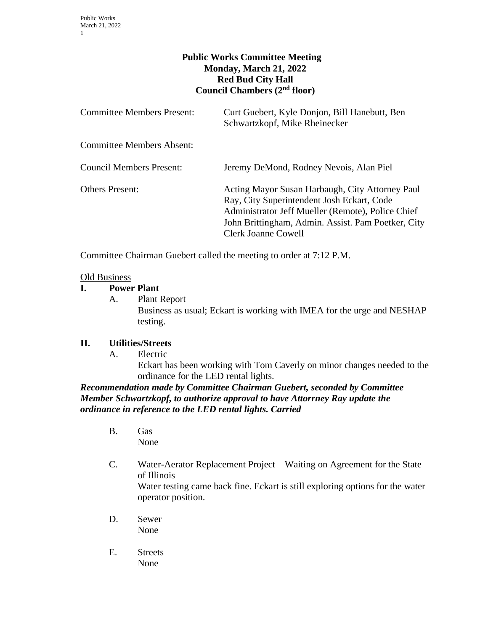# **Public Works Committee Meeting Monday, March 21, 2022 Red Bud City Hall Council Chambers (2nd floor)**

| <b>Committee Members Present:</b> | Curt Guebert, Kyle Donjon, Bill Hanebutt, Ben<br>Schwartzkopf, Mike Rheinecker                                                                                                                                                         |
|-----------------------------------|----------------------------------------------------------------------------------------------------------------------------------------------------------------------------------------------------------------------------------------|
| <b>Committee Members Absent:</b>  |                                                                                                                                                                                                                                        |
| <b>Council Members Present:</b>   | Jeremy DeMond, Rodney Nevois, Alan Piel                                                                                                                                                                                                |
| <b>Others Present:</b>            | Acting Mayor Susan Harbaugh, City Attorney Paul<br>Ray, City Superintendent Josh Eckart, Code<br>Administrator Jeff Mueller (Remote), Police Chief<br>John Brittingham, Admin. Assist. Pam Poetker, City<br><b>Clerk Joanne Cowell</b> |

Committee Chairman Guebert called the meeting to order at 7:12 P.M.

#### Old Business

### **I. Power Plant**

A. Plant Report

Business as usual; Eckart is working with IMEA for the urge and NESHAP testing.

#### **II. Utilities/Streets**

A. Electric

Eckart has been working with Tom Caverly on minor changes needed to the ordinance for the LED rental lights.

*Recommendation made by Committee Chairman Guebert, seconded by Committee Member Schwartzkopf, to authorize approval to have Attorrney Ray update the ordinance in reference to the LED rental lights. Carried*

- B. Gas None
- C. Water-Aerator Replacement Project Waiting on Agreement for the State of Illinois Water testing came back fine. Eckart is still exploring options for the water operator position.
- D. Sewer None
- E. Streets None